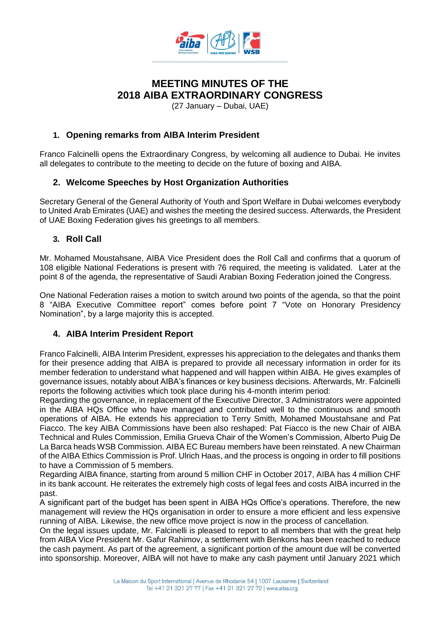

# **MEETING MINUTES OF THE 2018 AIBA EXTRAORDINARY CONGRESS**

(27 January – Dubai, UAE)

### **1. Opening remarks from AIBA Interim President**

Franco Falcinelli opens the Extraordinary Congress, by welcoming all audience to Dubai. He invites all delegates to contribute to the meeting to decide on the future of boxing and AIBA.

## **2. Welcome Speeches by Host Organization Authorities**

Secretary General of the General Authority of Youth and Sport Welfare in Dubai welcomes everybody to United Arab Emirates (UAE) and wishes the meeting the desired success. Afterwards, the President of UAE Boxing Federation gives his greetings to all members.

### **3. Roll Call**

Mr. Mohamed Moustahsane, AIBA Vice President does the Roll Call and confirms that a quorum of 108 eligible National Federations is present with 76 required, the meeting is validated. Later at the point 8 of the agenda, the representative of Saudi Arabian Boxing Federation joined the Congress.

One National Federation raises a motion to switch around two points of the agenda, so that the point 8 "AIBA Executive Committee report" comes before point 7 "Vote on Honorary Presidency Nomination", by a large majority this is accepted.

### **4. AIBA Interim President Report**

Franco Falcinelli, AIBA Interim President, expresses his appreciation to the delegates and thanks them for their presence adding that AIBA is prepared to provide all necessary information in order for its member federation to understand what happened and will happen within AIBA. He gives examples of governance issues, notably about AIBA's finances or key business decisions. Afterwards, Mr. Falcinelli reports the following activities which took place during his 4-month interim period:

Regarding the governance, in replacement of the Executive Director, 3 Administrators were appointed in the AIBA HQs Office who have managed and contributed well to the continuous and smooth operations of AIBA. He extends his appreciation to Terry Smith, Mohamed Moustahsane and Pat Fiacco. The key AIBA Commissions have been also reshaped: Pat Fiacco is the new Chair of AIBA Technical and Rules Commission, Emilia Grueva Chair of the Women's Commission, Alberto Puig De La Barca heads WSB Commission. AIBA EC Bureau members have been reinstated. A new Chairman of the AIBA Ethics Commission is Prof. Ulrich Haas, and the process is ongoing in order to fill positions to have a Commission of 5 members.

Regarding AIBA finance, starting from around 5 million CHF in October 2017, AIBA has 4 million CHF in its bank account. He reiterates the extremely high costs of legal fees and costs AIBA incurred in the past.

A significant part of the budget has been spent in AIBA HQs Office's operations. Therefore, the new management will review the HQs organisation in order to ensure a more efficient and less expensive running of AIBA. Likewise, the new office move project is now in the process of cancellation.

On the legal issues update, Mr. Falcinelli is pleased to report to all members that with the great help from AIBA Vice President Mr. Gafur Rahimov, a settlement with Benkons has been reached to reduce the cash payment. As part of the agreement, a significant portion of the amount due will be converted into sponsorship. Moreover, AIBA will not have to make any cash payment until January 2021 which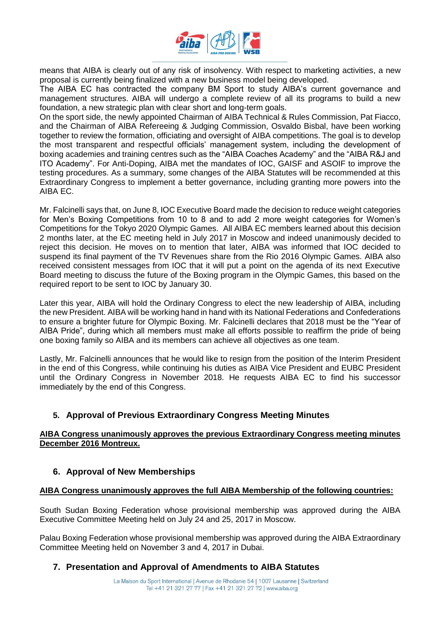

means that AIBA is clearly out of any risk of insolvency. With respect to marketing activities, a new proposal is currently being finalized with a new business model being developed.

The AIBA EC has contracted the company BM Sport to study AIBA's current governance and management structures. AIBA will undergo a complete review of all its programs to build a new foundation, a new strategic plan with clear short and long-term goals.

On the sport side, the newly appointed Chairman of AIBA Technical & Rules Commission, Pat Fiacco, and the Chairman of AIBA Refereeing & Judging Commission, Osvaldo Bisbal, have been working together to review the formation, officiating and oversight of AIBA competitions. The goal is to develop the most transparent and respectful officials' management system, including the development of boxing academies and training centres such as the "AIBA Coaches Academy" and the "AIBA R&J and ITO Academy". For Anti-Doping, AIBA met the mandates of IOC, GAISF and ASOIF to improve the testing procedures. As a summary, some changes of the AIBA Statutes will be recommended at this Extraordinary Congress to implement a better governance, including granting more powers into the AIBA EC.

Mr. Falcinelli says that, on June 8, IOC Executive Board made the decision to reduce weight categories for Men's Boxing Competitions from 10 to 8 and to add 2 more weight categories for Women's Competitions for the Tokyo 2020 Olympic Games. All AIBA EC members learned about this decision 2 months later, at the EC meeting held in July 2017 in Moscow and indeed unanimously decided to reject this decision. He moves on to mention that later, AIBA was informed that IOC decided to suspend its final payment of the TV Revenues share from the Rio 2016 Olympic Games. AIBA also received consistent messages from IOC that it will put a point on the agenda of its next Executive Board meeting to discuss the future of the Boxing program in the Olympic Games, this based on the required report to be sent to IOC by January 30.

Later this year, AIBA will hold the Ordinary Congress to elect the new leadership of AIBA, including the new President. AIBA will be working hand in hand with its National Federations and Confederations to ensure a brighter future for Olympic Boxing. Mr. Falcinelli declares that 2018 must be the "Year of AIBA Pride", during which all members must make all efforts possible to reaffirm the pride of being one boxing family so AIBA and its members can achieve all objectives as one team.

Lastly, Mr. Falcinelli announces that he would like to resign from the position of the Interim President in the end of this Congress, while continuing his duties as AIBA Vice President and EUBC President until the Ordinary Congress in November 2018. He requests AIBA EC to find his successor immediately by the end of this Congress.

## **5. Approval of Previous Extraordinary Congress Meeting Minutes**

#### **AIBA Congress unanimously approves the previous Extraordinary Congress meeting minutes December 2016 Montreux.**

#### **6. Approval of New Memberships**

#### **AIBA Congress unanimously approves the full AIBA Membership of the following countries:**

South Sudan Boxing Federation whose provisional membership was approved during the AIBA Executive Committee Meeting held on July 24 and 25, 2017 in Moscow.

Palau Boxing Federation whose provisional membership was approved during the AIBA Extraordinary Committee Meeting held on November 3 and 4, 2017 in Dubai.

### **7. Presentation and Approval of Amendments to AIBA Statutes**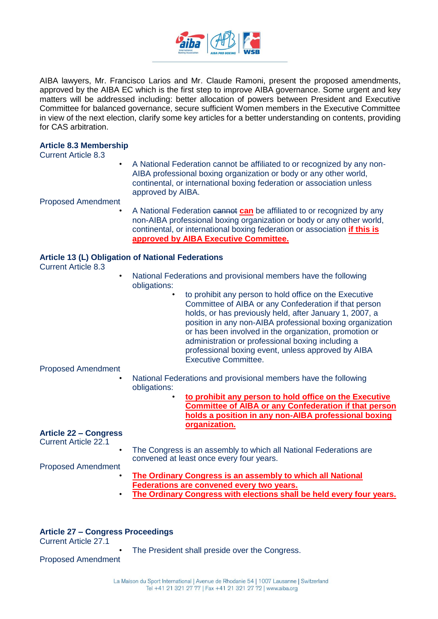

AIBA lawyers, Mr. Francisco Larios and Mr. Claude Ramoni, present the proposed amendments, approved by the AIBA EC which is the first step to improve AIBA governance. Some urgent and key matters will be addressed including: better allocation of powers between President and Executive Committee for balanced governance, secure sufficient Women members in the Executive Committee in view of the next election, clarify some key articles for a better understanding on contents, providing for CAS arbitration.

#### **Article 8.3 Membership**

Current Article 8.3

• A National Federation cannot be affiliated to or recognized by any non-AIBA professional boxing organization or body or any other world, continental, or international boxing federation or association unless approved by AIBA.

Proposed Amendment

A National Federation cannot **can** be affiliated to or recognized by any non-AIBA professional boxing organization or body or any other world, continental, or international boxing federation or association **if this is approved by AIBA Executive Committee.**

#### **Article 13 (L) Obligation of National Federations**

Current Article 8.3

- National Federations and provisional members have the following obligations:
	- to prohibit any person to hold office on the Executive Committee of AIBA or any Confederation if that person holds, or has previously held, after January 1, 2007, a position in any non-AIBA professional boxing organization or has been involved in the organization, promotion or administration or professional boxing including a professional boxing event, unless approved by AIBA Executive Committee.

#### Proposed Amendment

- National Federations and provisional members have the following obligations:
	- **to prohibit any person to hold office on the Executive Committee of AIBA or any Confederation if that person holds a position in any non-AIBA professional boxing organization.**

#### **Article 22 – Congress**

Current Article 22.1

The Congress is an assembly to which all National Federations are convened at least once every four years.

Proposed Amendment

- **The Ordinary Congress is an assembly to which all National Federations are convened every two years.**
- **The Ordinary Congress with elections shall be held every four years.**

#### **Article 27 – Congress Proceedings**

Current Article 27.1

The President shall preside over the Congress.

Proposed Amendment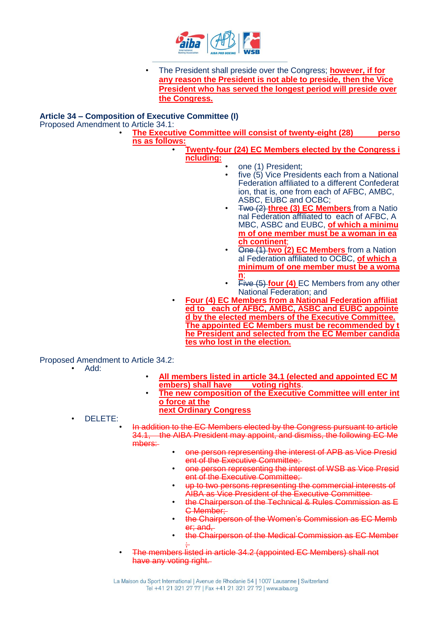

• The President shall preside over the Congress; **however, if for any reason the President is not able to preside, then the Vice President who has served the longest period will preside over the Congress.**

#### **Article 34 – Composition of Executive Committee (I)**

Proposed Amendment to Article 34.1:

• **The Executive Committee will consist of twenty-eight (28) perso ns as follows:**

• **Twenty-four (24) EC Members elected by the Congress i ncluding:**

- one (1) President;
	- five (5) Vice Presidents each from a National Federation affiliated to a different Confederat ion, that is, one from each of AFBC, AMBC, ASBC, EUBC and OCBC;
- Two (2) **three (3) EC Members** from a Natio nal Federation affiliated to each of AFBC, A MBC, ASBC and EUBC, **of which a minimu m of one member must be a woman in ea ch continent**;
- One (1) **two (2) EC Members** from a Nation al Federation affiliated to OCBC, **of which a minimum of one member must be a woma n**;
- **Five (5) four (4)** EC Members from any other National Federation; and
- **Four (4) EC Members from a National Federation affiliat ed to each of AFBC, AMBC, ASBC and EUBC appointe d by the elected members of the Executive Committee. The appointed EC Members must be recommended by t he President and selected from the EC Member candida tes who lost in the election.**

#### Proposed Amendment to Article 34.2:

- Add:
- **All members listed in article 34.1 (elected and appointed EC M embers) shall have voting rights**.
- **The new composition of the Executive Committee will enter int o force at the next Ordinary Congress**

• DELETE:

• In addition to the EC Members elected by the Congress pursuant to article 34.1, the AIBA President may appoint, and dismiss, the following EC Me mbers:

- one person representing the interest of APB as Vice Presid ent of the Executive Committee;
- one person representing the interest of WSB as Vice Presid ent of the Executive Committee;
- up to two persons representing the commercial interests of AIBA as Vice President of the Executive Committee
- the Chairperson of the Technical & Rules Commission as E C Member:
- the Chairperson of the Women's Commission as EC Memb er; and.
- the Chairperson of the Medical Commission as EC Member ;
- The members listed in article 34.2 (appointed EC Members) shall not have any voting right.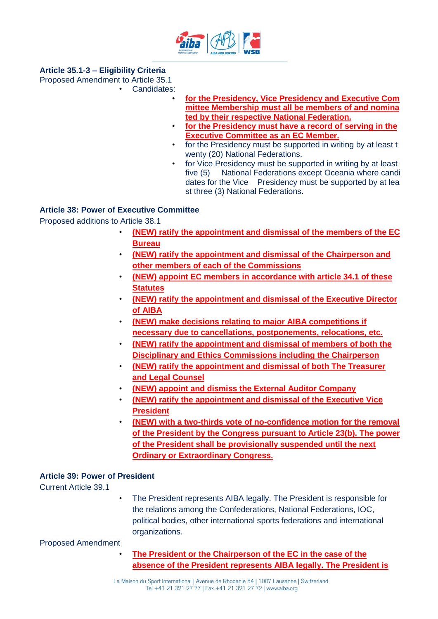

### **Article 35.1-3 – Eligibility Criteria**

Proposed Amendment to Article 35.1

- Candidates:
	- **for the Presidency, Vice Presidency and Executive Com mittee Membership must all be members of and nomina ted by their respective National Federation.**
	- **for the Presidency must have a record of serving in the Executive Committee as an EC Member.**
	- for the Presidency must be supported in writing by at least t wenty (20) National Federations.
	- for Vice Presidency must be supported in writing by at least five (5) National Federations except Oceania where candi dates for the Vice Presidency must be supported by at lea st three (3) National Federations.

### **Article 38: Power of Executive Committee**

Proposed additions to Article 38.1

- **(NEW) ratify the appointment and dismissal of the members of the EC Bureau**
- **(NEW) ratify the appointment and dismissal of the Chairperson and other members of each of the Commissions**
- **(NEW) appoint EC members in accordance with article 34.1 of these Statutes**
- **(NEW) ratify the appointment and dismissal of the Executive Director of AIBA**
- **(NEW) make decisions relating to major AIBA competitions if necessary due to cancellations, postponements, relocations, etc.**
- **(NEW) ratify the appointment and dismissal of members of both the Disciplinary and Ethics Commissions including the Chairperson**
- **(NEW) ratify the appointment and dismissal of both The Treasurer and Legal Counsel**
- **(NEW) appoint and dismiss the External Auditor Company**
- **(NEW) ratify the appointment and dismissal of the Executive Vice President**
- **(NEW) with a two-thirds vote of no-confidence motion for the removal of the President by the Congress pursuant to Article 23(b). The power of the President shall be provisionally suspended until the next Ordinary or Extraordinary Congress.**

### **Article 39: Power of President**

Current Article 39.1

• The President represents AIBA legally. The President is responsible for the relations among the Confederations, National Federations, IOC, political bodies, other international sports federations and international organizations.

Proposed Amendment

• **The President or the Chairperson of the EC in the case of the absence of the President represents AIBA legally. The President is**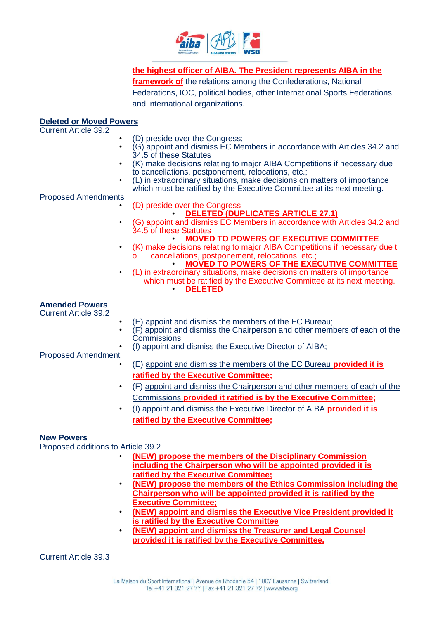

**the highest officer of AIBA. The President represents AIBA in the framework of** the relations among the Confederations, National Federations, IOC, political bodies, other International Sports Federations and international organizations.

## **Deleted or Moved Powers**

| $\cdots$<br><b>Current Article 39.2</b>                                           |                                                                                                                                                                                                                                                                                                                                                                                                                                                                                                                                                                  |
|-----------------------------------------------------------------------------------|------------------------------------------------------------------------------------------------------------------------------------------------------------------------------------------------------------------------------------------------------------------------------------------------------------------------------------------------------------------------------------------------------------------------------------------------------------------------------------------------------------------------------------------------------------------|
| $\bullet$<br><b>Proposed Amendments</b>                                           | (D) preside over the Congress;<br>(G) appoint and dismiss EC Members in accordance with Articles 34.2 and<br>34.5 of these Statutes<br>(K) make decisions relating to major AIBA Competitions if necessary due<br>to cancellations, postponement, relocations, etc.;<br>(L) in extraordinary situations, make decisions on matters of importance<br>which must be ratified by the Executive Committee at its next meeting.<br>(D) preside over the Congress                                                                                                      |
| $\bullet$<br>$\bullet$                                                            | <b>DELETED (DUPLICATES ARTICLE 27.1)</b><br>(G) appoint and dismiss EC Members in accordance with Articles 34.2 and<br>34.5 of these Statutes<br><b>MOVED TO POWERS OF EXECUTIVE COMMITTEE</b><br>(K) make decisions relating to major AIBA Competitions if necessary due t<br>cancellations, postponement, relocations, etc.;<br>O<br><b>MOVED TO POWERS OF THE EXECUTIVE COMMITTEE</b><br>(L) in extraordinary situations, make decisions on matters of importance<br>which must be ratified by the Executive Committee at its next meeting.<br><b>DELETED</b> |
| <b>Amended Powers</b><br><b>Current Article 39.2</b><br><b>Proposed Amendment</b> | (E) appoint and dismiss the members of the EC Bureau;<br>(F) appoint and dismiss the Chairperson and other members of each of the<br>Commissions:<br>(I) appoint and dismiss the Executive Director of AIBA;<br>(E) appoint and dismiss the members of the EC Bureau <b>provided it is</b>                                                                                                                                                                                                                                                                       |
| $\bullet$                                                                         | ratified by the Executive Committee;<br>(F) appoint and dismiss the Chairperson and other members of each of the<br>Commissions provided it ratified is by the Executive Committee;<br>(I) appoint and dismiss the Executive Director of AIBA provided it is<br>ratified by the Executive Committee;                                                                                                                                                                                                                                                             |
| <b>New Powers</b><br>Proposed additions to Article 39.2<br>$\bullet$<br>$\bullet$ | (NEW) propose the members of the Disciplinary Commission<br>including the Chairperson who will be appointed provided it is<br>ratified by the Executive Committee;<br>(NEW) propose the members of the Ethics Commission including the<br>Chairperson who will be appointed provided it is ratified by the<br><b>Executive Committee;</b><br>(NEW) appoint and dismiss the Executive Vice President provided it<br>is ratified by the Executive Committee                                                                                                        |

• **(NEW) appoint and dismiss the Treasurer and Legal Counsel provided it is ratified by the Executive Committee.**

Current Article 39.3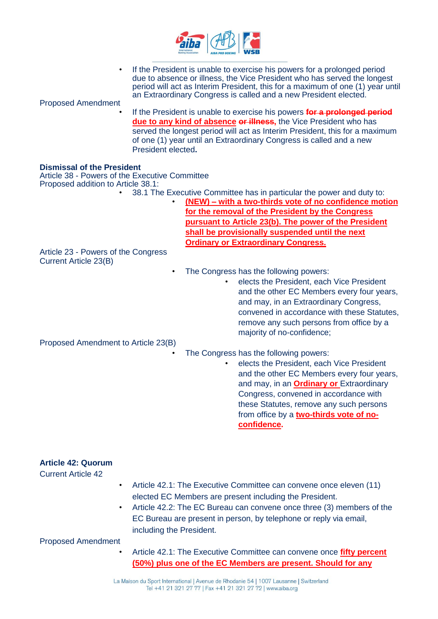

| <b>Proposed Amendment</b>                                                                                                 |                    | If the President is unable to exercise his powers for a prolonged period<br>due to absence or illness, the Vice President who has served the longest<br>period will act as Interim President, this for a maximum of one (1) year until<br>an Extraordinary Congress is called and a new President elected. |
|---------------------------------------------------------------------------------------------------------------------------|--------------------|------------------------------------------------------------------------------------------------------------------------------------------------------------------------------------------------------------------------------------------------------------------------------------------------------------|
|                                                                                                                           | President elected. | If the President is unable to exercise his powers for a prolonged period<br>due to any kind of absence or illness, the Vice President who has<br>served the longest period will act as Interim President, this for a maximum<br>of one (1) year until an Extraordinary Congress is called and a new        |
| <b>Dismissal of the President</b><br>Article 38 - Powers of the Executive Committee<br>Proposed addition to Article 38.1: |                    |                                                                                                                                                                                                                                                                                                            |
|                                                                                                                           |                    | 38.1 The Executive Committee has in particular the power and duty to:                                                                                                                                                                                                                                      |
|                                                                                                                           |                    | (NEW) - with a two-thirds vote of no confidence motion                                                                                                                                                                                                                                                     |
|                                                                                                                           |                    | for the removal of the President by the Congress<br>pursuant to Article 23(b). The power of the President                                                                                                                                                                                                  |
|                                                                                                                           |                    | shall be provisionally suspended until the next                                                                                                                                                                                                                                                            |
|                                                                                                                           |                    | <b>Ordinary or Extraordinary Congress.</b>                                                                                                                                                                                                                                                                 |
| Article 23 - Powers of the Congress<br><b>Current Article 23(B)</b>                                                       |                    |                                                                                                                                                                                                                                                                                                            |
|                                                                                                                           |                    | The Congress has the following powers:                                                                                                                                                                                                                                                                     |
|                                                                                                                           |                    | elects the President, each Vice President                                                                                                                                                                                                                                                                  |
|                                                                                                                           |                    | and the other EC Members every four years,                                                                                                                                                                                                                                                                 |
|                                                                                                                           |                    | and may, in an Extraordinary Congress,<br>convened in accordance with these Statutes,                                                                                                                                                                                                                      |
|                                                                                                                           |                    | remove any such persons from office by a                                                                                                                                                                                                                                                                   |
|                                                                                                                           |                    | majority of no-confidence;                                                                                                                                                                                                                                                                                 |
| Proposed Amendment to Article 23(B)                                                                                       |                    |                                                                                                                                                                                                                                                                                                            |
|                                                                                                                           |                    | The Congress has the following powers:                                                                                                                                                                                                                                                                     |
|                                                                                                                           |                    | elects the President, each Vice President                                                                                                                                                                                                                                                                  |
|                                                                                                                           |                    | and the other EC Members every four years,                                                                                                                                                                                                                                                                 |
|                                                                                                                           |                    | and may, in an <b>Ordinary or</b> Extraordinary                                                                                                                                                                                                                                                            |
|                                                                                                                           |                    | Congress, convened in accordance with<br>these Statutes, remove any such persons                                                                                                                                                                                                                           |
|                                                                                                                           |                    | from office by a two-thirds vote of no-                                                                                                                                                                                                                                                                    |

**confidence.**

| <b>Article 42: Quorum</b><br><b>Current Article 42</b> |                                                                                                                                                                                                                                                                                                         |
|--------------------------------------------------------|---------------------------------------------------------------------------------------------------------------------------------------------------------------------------------------------------------------------------------------------------------------------------------------------------------|
| $\bullet$<br>$\bullet$                                 | Article 42.1: The Executive Committee can convene once eleven (11)<br>elected EC Members are present including the President.<br>Article 42.2: The EC Bureau can convene once three (3) members of the<br>EC Bureau are present in person, by telephone or reply via email,<br>including the President. |
| <b>Proposed Amendment</b>                              |                                                                                                                                                                                                                                                                                                         |
| $\bullet$                                              | Article 42.1: The Executive Committee can convene once fifty percent<br>(50%) plus one of the EC Members are present. Should for any                                                                                                                                                                    |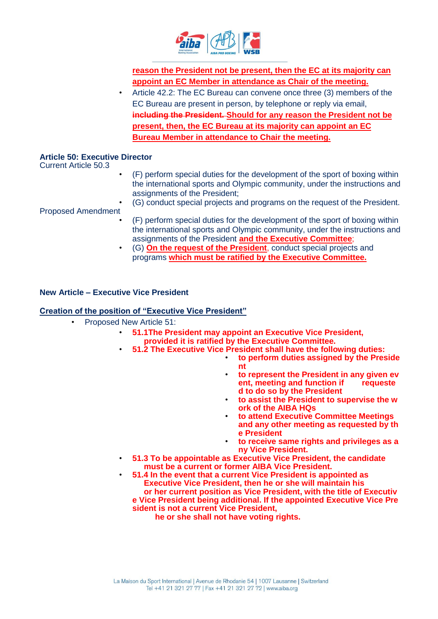

**reason the President not be present, then the EC at its majority can appoint an EC Member in attendance as Chair of the meeting.**

• Article 42.2: The EC Bureau can convene once three (3) members of the EC Bureau are present in person, by telephone or reply via email, **including the President. Should for any reason the President not be present, then, the EC Bureau at its majority can appoint an EC Bureau Member in attendance to Chair the meeting.**

### **Article 50: Executive Director**

Current Article 50.3

• (F) perform special duties for the development of the sport of boxing within the international sports and Olympic community, under the instructions and assignments of the President;

Proposed Amendment

- (G) conduct special projects and programs on the request of the President.
- (F) perform special duties for the development of the sport of boxing within the international sports and Olympic community, under the instructions and assignments of the President **and the Executive Committee**;
- (G) **On the request of the President**, conduct special projects and programs **which must be ratified by the Executive Committee.**

#### **New Article – Executive Vice President**

#### **Creation of the position of "Executive Vice President"**

- Proposed New Article 51:
	- **51.1The President may appoint an Executive Vice President, provided it is ratified by the Executive Committee.**
	- **51.2 The Executive Vice President shall have the following duties:** 
		- **to perform duties assigned by the Preside nt**
		- **to represent the President in any given ev ent, meeting and function if requeste d to do so by the President**
		- **to assist the President to supervise the w ork of the AIBA HQs**
		- **to attend Executive Committee Meetings and any other meeting as requested by th e President**
		- **to receive same rights and privileges as a ny Vice President.**
	- **51.3 To be appointable as Executive Vice President, the candidate must be a current or former AIBA Vice President.** 
		- **51.4 In the event that a current Vice President is appointed as Executive Vice President, then he or she will maintain his or her current position as Vice President, with the title of Executiv e Vice President being additional. If the appointed Executive Vice Pre sident is not a current Vice President,**

 **he or she shall not have voting rights.**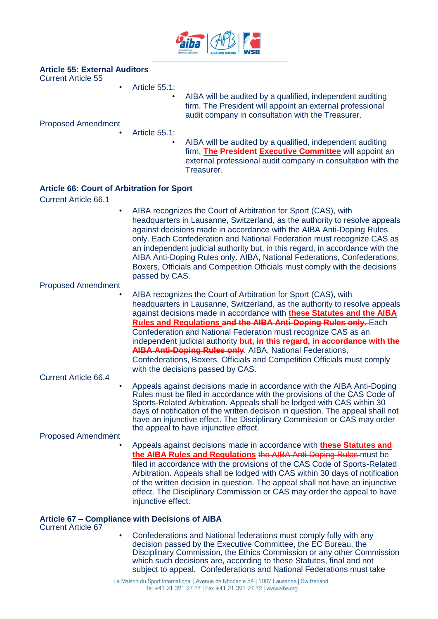

### **Article 55: External Auditors**

Current Article 55

• Article 55.1:

• AIBA will be audited by a qualified, independent auditing firm. The President will appoint an external professional audit company in consultation with the Treasurer.

Proposed Amendment

- Article 55.1:
	- AIBA will be audited by a qualified, independent auditing firm. **The President Executive Committee** will appoint an external professional audit company in consultation with the Treasurer.

#### **Article 66: Court of Arbitration for Sport**

Current Article 66.1

• AIBA recognizes the Court of Arbitration for Sport (CAS), with headquarters in Lausanne, Switzerland, as the authority to resolve appeals against decisions made in accordance with the AIBA Anti-Doping Rules only. Each Confederation and National Federation must recognize CAS as an independent judicial authority but, in this regard, in accordance with the AIBA Anti-Doping Rules only. AIBA, National Federations, Confederations, Boxers, Officials and Competition Officials must comply with the decisions passed by CAS.

Proposed Amendment

- AIBA recognizes the Court of Arbitration for Sport (CAS), with headquarters in Lausanne, Switzerland, as the authority to resolve appeals against decisions made in accordance with **these Statutes and the AIBA Rules and Regulations and the AIBA Anti-Doping Rules only.** Each Confederation and National Federation must recognize CAS as an independent judicial authority **but, in this regard, in accordance with the AIBA Anti-Doping Rules only**. AIBA, National Federations, Confederations, Boxers, Officials and Competition Officials must comply with the decisions passed by CAS.
- Current Article 66.4
	- Appeals against decisions made in accordance with the AIBA Anti-Doping Rules must be filed in accordance with the provisions of the CAS Code of Sports-Related Arbitration. Appeals shall be lodged with CAS within 30 days of notification of the written decision in question. The appeal shall not have an injunctive effect. The Disciplinary Commission or CAS may order the appeal to have injunctive effect.

Proposed Amendment

• Appeals against decisions made in accordance with **these Statutes and the AIBA Rules and Regulations** the AIBA Anti-Doping Rules must be filed in accordance with the provisions of the CAS Code of Sports-Related Arbitration. Appeals shall be lodged with CAS within 30 days of notification of the written decision in question. The appeal shall not have an injunctive effect. The Disciplinary Commission or CAS may order the appeal to have injunctive effect.

#### **Article 67 – Compliance with Decisions of AIBA**

Current Article 67

• Confederations and National federations must comply fully with any decision passed by the Executive Committee, the EC Bureau, the Disciplinary Commission, the Ethics Commission or any other Commission which such decisions are, according to these Statutes, final and not subject to appeal. Confederations and National Federations must take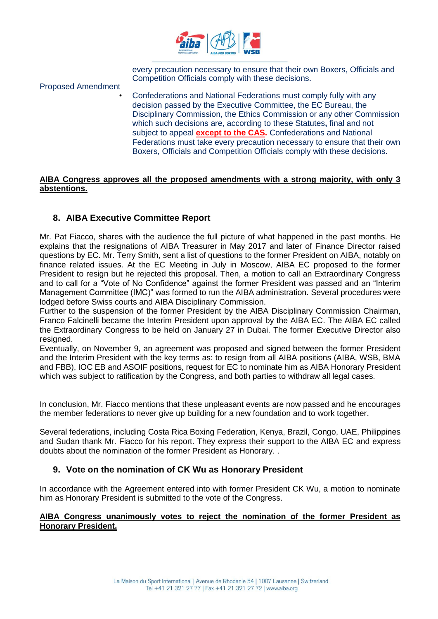

every precaution necessary to ensure that their own Boxers, Officials and Competition Officials comply with these decisions.

Proposed Amendment

• Confederations and National Federations must comply fully with any decision passed by the Executive Committee, the EC Bureau, the Disciplinary Commission, the Ethics Commission or any other Commission which such decisions are, according to these Statutes**,** final and not subject to appeal **except to the CAS.** Confederations and National Federations must take every precaution necessary to ensure that their own Boxers, Officials and Competition Officials comply with these decisions.

#### **AIBA Congress approves all the proposed amendments with a strong majority, with only 3 abstentions.**

## **8. AIBA Executive Committee Report**

Mr. Pat Fiacco, shares with the audience the full picture of what happened in the past months. He explains that the resignations of AIBA Treasurer in May 2017 and later of Finance Director raised questions by EC. Mr. Terry Smith, sent a list of questions to the former President on AIBA, notably on finance related issues. At the EC Meeting in July in Moscow, AIBA EC proposed to the former President to resign but he rejected this proposal. Then, a motion to call an Extraordinary Congress and to call for a "Vote of No Confidence" against the former President was passed and an "Interim Management Committee (IMC)" was formed to run the AIBA administration. Several procedures were lodged before Swiss courts and AIBA Disciplinary Commission.

Further to the suspension of the former President by the AIBA Disciplinary Commission Chairman, Franco Falcinelli became the Interim President upon approval by the AIBA EC. The AIBA EC called the Extraordinary Congress to be held on January 27 in Dubai. The former Executive Director also resigned.

Eventually, on November 9, an agreement was proposed and signed between the former President and the Interim President with the key terms as: to resign from all AIBA positions (AIBA, WSB, BMA and FBB), IOC EB and ASOIF positions, request for EC to nominate him as AIBA Honorary President which was subject to ratification by the Congress, and both parties to withdraw all legal cases.

In conclusion, Mr. Fiacco mentions that these unpleasant events are now passed and he encourages the member federations to never give up building for a new foundation and to work together.

Several federations, including Costa Rica Boxing Federation, Kenya, Brazil, Congo, UAE, Philippines and Sudan thank Mr. Fiacco for his report. They express their support to the AIBA EC and express doubts about the nomination of the former President as Honorary. .

### **9. Vote on the nomination of CK Wu as Honorary President**

In accordance with the Agreement entered into with former President CK Wu, a motion to nominate him as Honorary President is submitted to the vote of the Congress.

#### **AIBA Congress unanimously votes to reject the nomination of the former President as Honorary President.**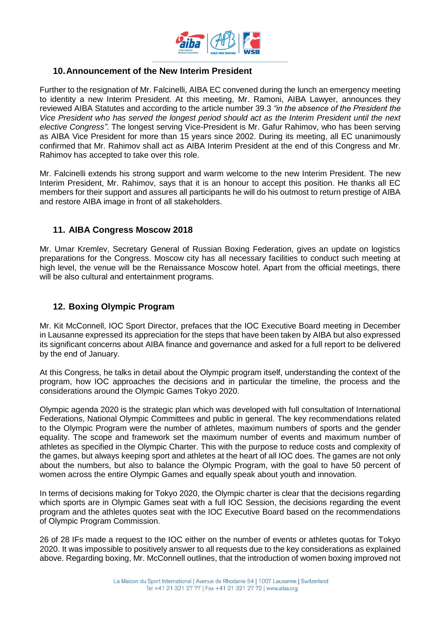

### **10.Announcement of the New Interim President**

Further to the resignation of Mr. Falcinelli, AIBA EC convened during the lunch an emergency meeting to identity a new Interim President. At this meeting, Mr. Ramoni, AIBA Lawyer, announces they reviewed AIBA Statutes and according to the article number 39.3 *"in the absence of the President the Vice President who has served the longest period should act as the Interim President until the next elective Congress"*. The longest serving Vice-President is Mr. Gafur Rahimov, who has been serving as AIBA Vice President for more than 15 years since 2002. During its meeting, all EC unanimously confirmed that Mr. Rahimov shall act as AIBA Interim President at the end of this Congress and Mr. Rahimov has accepted to take over this role.

Mr. Falcinelli extends his strong support and warm welcome to the new Interim President. The new Interim President, Mr. Rahimov, says that it is an honour to accept this position. He thanks all EC members for their support and assures all participants he will do his outmost to return prestige of AIBA and restore AIBA image in front of all stakeholders.

## **11. AIBA Congress Moscow 2018**

Mr. Umar Kremlev, Secretary General of Russian Boxing Federation, gives an update on logistics preparations for the Congress. Moscow city has all necessary facilities to conduct such meeting at high level, the venue will be the Renaissance Moscow hotel. Apart from the official meetings, there will be also cultural and entertainment programs.

### **12. Boxing Olympic Program**

Mr. Kit McConnell, IOC Sport Director, prefaces that the IOC Executive Board meeting in December in Lausanne expressed its appreciation for the steps that have been taken by AIBA but also expressed its significant concerns about AIBA finance and governance and asked for a full report to be delivered by the end of January.

At this Congress, he talks in detail about the Olympic program itself, understanding the context of the program, how IOC approaches the decisions and in particular the timeline, the process and the considerations around the Olympic Games Tokyo 2020.

Olympic agenda 2020 is the strategic plan which was developed with full consultation of International Federations, National Olympic Committees and public in general. The key recommendations related to the Olympic Program were the number of athletes, maximum numbers of sports and the gender equality. The scope and framework set the maximum number of events and maximum number of athletes as specified in the Olympic Charter. This with the purpose to reduce costs and complexity of the games, but always keeping sport and athletes at the heart of all IOC does. The games are not only about the numbers, but also to balance the Olympic Program, with the goal to have 50 percent of women across the entire Olympic Games and equally speak about youth and innovation.

In terms of decisions making for Tokyo 2020, the Olympic charter is clear that the decisions regarding which sports are in Olympic Games seat with a full IOC Session, the decisions regarding the event program and the athletes quotes seat with the IOC Executive Board based on the recommendations of Olympic Program Commission.

26 of 28 IFs made a request to the IOC either on the number of events or athletes quotas for Tokyo 2020. It was impossible to positively answer to all requests due to the key considerations as explained above. Regarding boxing, Mr. McConnell outlines, that the introduction of women boxing improved not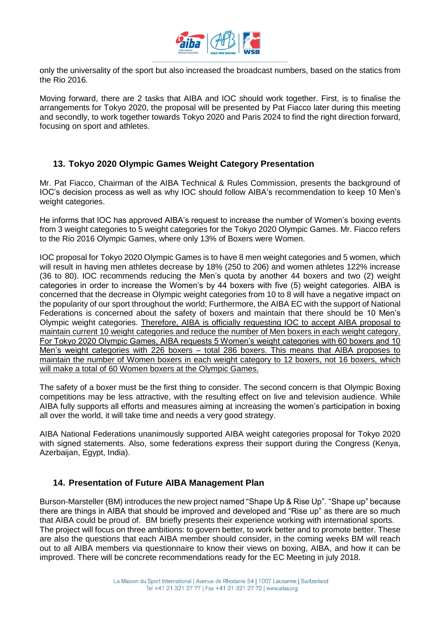

only the universality of the sport but also increased the broadcast numbers, based on the statics from the Rio 2016.

Moving forward, there are 2 tasks that AIBA and IOC should work together. First, is to finalise the arrangements for Tokyo 2020, the proposal will be presented by Pat Fiacco later during this meeting and secondly, to work together towards Tokyo 2020 and Paris 2024 to find the right direction forward, focusing on sport and athletes.

### **13. Tokyo 2020 Olympic Games Weight Category Presentation**

Mr. Pat Fiacco, Chairman of the AIBA Technical & Rules Commission, presents the background of IOC's decision process as well as why IOC should follow AIBA's recommendation to keep 10 Men's weight categories.

He informs that IOC has approved AIBA's request to increase the number of Women's boxing events from 3 weight categories to 5 weight categories for the Tokyo 2020 Olympic Games. Mr. Fiacco refers to the Rio 2016 Olympic Games, where only 13% of Boxers were Women.

IOC proposal for Tokyo 2020 Olympic Games is to have 8 men weight categories and 5 women, which will result in having men athletes decrease by 18% (250 to 206) and women athletes 122% increase (36 to 80). IOC recommends reducing the Men's quota by another 44 boxers and two (2) weight categories in order to increase the Women's by 44 boxers with five (5) weight categories. AIBA is concerned that the decrease in Olympic weight categories from 10 to 8 will have a negative impact on the popularity of our sport throughout the world; Furthermore, the AIBA EC with the support of National Federations is concerned about the safety of boxers and maintain that there should be 10 Men's Olympic weight categories. Therefore, AIBA is officially requesting IOC to accept AIBA proposal to maintain current 10 weight categories and reduce the number of Men boxers in each weight category. For Tokyo 2020 Olympic Games, AIBA requests 5 Women's weight categories with 60 boxers and 10 Men's weight categories with 226 boxers – total 286 boxers. This means that AIBA proposes to maintain the number of Women boxers in each weight category to 12 boxers, not 16 boxers, which will make a total of 60 Women boxers at the Olympic Games.

The safety of a boxer must be the first thing to consider. The second concern is that Olympic Boxing competitions may be less attractive, with the resulting effect on live and television audience. While AIBA fully supports all efforts and measures aiming at increasing the women's participation in boxing all over the world, it will take time and needs a very good strategy.

AIBA National Federations unanimously supported AIBA weight categories proposal for Tokyo 2020 with signed statements. Also, some federations express their support during the Congress (Kenya, Azerbaijan, Egypt, India).

#### **14. Presentation of Future AIBA Management Plan**

Burson-Marsteller (BM) introduces the new project named "Shape Up & Rise Up". "Shape up" because there are things in AIBA that should be improved and developed and "Rise up" as there are so much that AIBA could be proud of. BM briefly presents their experience working with international sports. The project will focus on three ambitions: to govern better, to work better and to promote better. These are also the questions that each AIBA member should consider, in the coming weeks BM will reach out to all AIBA members via questionnaire to know their views on boxing, AIBA, and how it can be improved. There will be concrete recommendations ready for the EC Meeting in july 2018.